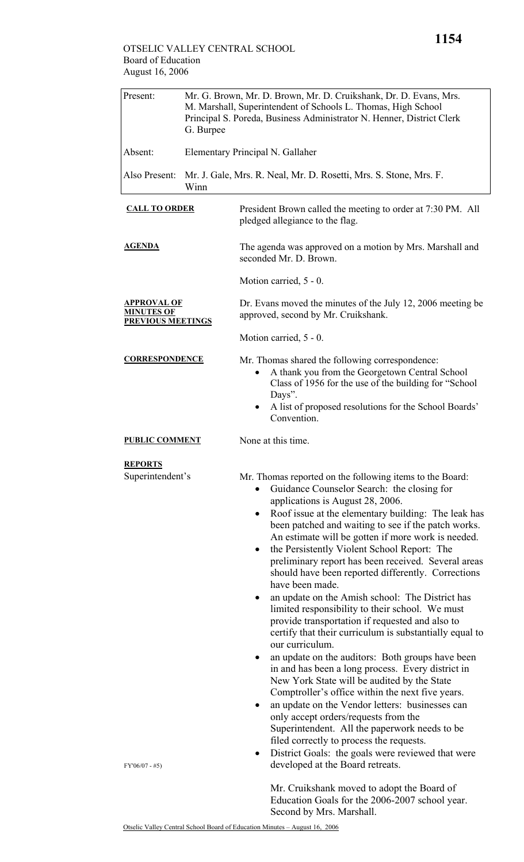| Present:                                                     | Mr. G. Brown, Mr. D. Brown, Mr. D. Cruikshank, Dr. D. Evans, Mrs.<br>M. Marshall, Superintendent of Schools L. Thomas, High School<br>Principal S. Poreda, Business Administrator N. Henner, District Clerk<br>G. Burpee |                                                                                                                                                                                                                                                                                                                                                                                                                                                                                                                                                                                                                                                                                                                                                                                                                                                                                                                                                                                                                                                                                                                                                                                                                                                                  |  |  |
|--------------------------------------------------------------|--------------------------------------------------------------------------------------------------------------------------------------------------------------------------------------------------------------------------|------------------------------------------------------------------------------------------------------------------------------------------------------------------------------------------------------------------------------------------------------------------------------------------------------------------------------------------------------------------------------------------------------------------------------------------------------------------------------------------------------------------------------------------------------------------------------------------------------------------------------------------------------------------------------------------------------------------------------------------------------------------------------------------------------------------------------------------------------------------------------------------------------------------------------------------------------------------------------------------------------------------------------------------------------------------------------------------------------------------------------------------------------------------------------------------------------------------------------------------------------------------|--|--|
| Absent:                                                      |                                                                                                                                                                                                                          | Elementary Principal N. Gallaher                                                                                                                                                                                                                                                                                                                                                                                                                                                                                                                                                                                                                                                                                                                                                                                                                                                                                                                                                                                                                                                                                                                                                                                                                                 |  |  |
| Also Present:<br>Winn                                        |                                                                                                                                                                                                                          | Mr. J. Gale, Mrs. R. Neal, Mr. D. Rosetti, Mrs. S. Stone, Mrs. F.                                                                                                                                                                                                                                                                                                                                                                                                                                                                                                                                                                                                                                                                                                                                                                                                                                                                                                                                                                                                                                                                                                                                                                                                |  |  |
| <b>CALL TO ORDER</b>                                         |                                                                                                                                                                                                                          | President Brown called the meeting to order at 7:30 PM. All<br>pledged allegiance to the flag.                                                                                                                                                                                                                                                                                                                                                                                                                                                                                                                                                                                                                                                                                                                                                                                                                                                                                                                                                                                                                                                                                                                                                                   |  |  |
| <b>AGENDA</b>                                                |                                                                                                                                                                                                                          | The agenda was approved on a motion by Mrs. Marshall and<br>seconded Mr. D. Brown.                                                                                                                                                                                                                                                                                                                                                                                                                                                                                                                                                                                                                                                                                                                                                                                                                                                                                                                                                                                                                                                                                                                                                                               |  |  |
|                                                              |                                                                                                                                                                                                                          | Motion carried, 5 - 0.                                                                                                                                                                                                                                                                                                                                                                                                                                                                                                                                                                                                                                                                                                                                                                                                                                                                                                                                                                                                                                                                                                                                                                                                                                           |  |  |
| APPROVAL OF<br><b>MINUTES OF</b><br><b>PREVIOUS MEETINGS</b> |                                                                                                                                                                                                                          | Dr. Evans moved the minutes of the July 12, 2006 meeting be<br>approved, second by Mr. Cruikshank.                                                                                                                                                                                                                                                                                                                                                                                                                                                                                                                                                                                                                                                                                                                                                                                                                                                                                                                                                                                                                                                                                                                                                               |  |  |
|                                                              |                                                                                                                                                                                                                          | Motion carried, 5 - 0.                                                                                                                                                                                                                                                                                                                                                                                                                                                                                                                                                                                                                                                                                                                                                                                                                                                                                                                                                                                                                                                                                                                                                                                                                                           |  |  |
| <b>CORRESPONDENCE</b>                                        |                                                                                                                                                                                                                          | Mr. Thomas shared the following correspondence:<br>A thank you from the Georgetown Central School<br>Class of 1956 for the use of the building for "School"<br>Days".<br>A list of proposed resolutions for the School Boards'<br>Convention.                                                                                                                                                                                                                                                                                                                                                                                                                                                                                                                                                                                                                                                                                                                                                                                                                                                                                                                                                                                                                    |  |  |
| <b>PUBLIC COMMENT</b>                                        |                                                                                                                                                                                                                          | None at this time.                                                                                                                                                                                                                                                                                                                                                                                                                                                                                                                                                                                                                                                                                                                                                                                                                                                                                                                                                                                                                                                                                                                                                                                                                                               |  |  |
| <b>REPORTS</b><br>Superintendent's                           |                                                                                                                                                                                                                          | Mr. Thomas reported on the following items to the Board:<br>Guidance Counselor Search: the closing for<br>$\bullet$<br>applications is August 28, 2006.<br>Roof issue at the elementary building: The leak has<br>$\bullet$<br>been patched and waiting to see if the patch works.<br>An estimate will be gotten if more work is needed.<br>the Persistently Violent School Report: The<br>$\bullet$<br>preliminary report has been received. Several areas<br>should have been reported differently. Corrections<br>have been made.<br>an update on the Amish school: The District has<br>٠<br>limited responsibility to their school. We must<br>provide transportation if requested and also to<br>certify that their curriculum is substantially equal to<br>our curriculum.<br>an update on the auditors: Both groups have been<br>$\bullet$<br>in and has been a long process. Every district in<br>New York State will be audited by the State<br>Comptroller's office within the next five years.<br>an update on the Vendor letters: businesses can<br>٠<br>only accept orders/requests from the<br>Superintendent. All the paperwork needs to be<br>filed correctly to process the requests.<br>District Goals: the goals were reviewed that were<br>٠ |  |  |
| $FY'06/07 - #5)$                                             |                                                                                                                                                                                                                          | developed at the Board retreats.<br>Mr. Cruikshank moved to adopt the Board of<br>Education Goals for the 2006-2007 school year.                                                                                                                                                                                                                                                                                                                                                                                                                                                                                                                                                                                                                                                                                                                                                                                                                                                                                                                                                                                                                                                                                                                                 |  |  |

Second by Mrs. Marshall.

**1154**

Otselic Valley Central School Board of Education Minutes – August 16, 2006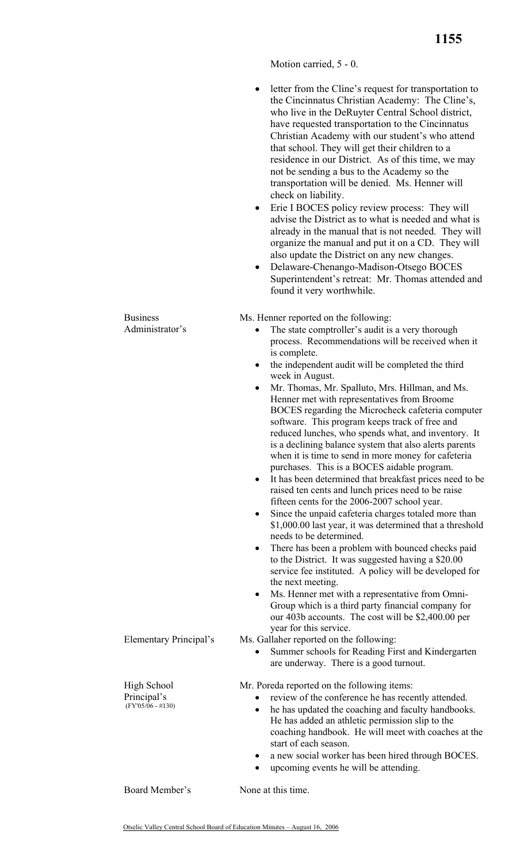Motion carried, 5 - 0.

- letter from the Cline's request for transportation to the Cincinnatus Christian Academy: The Cline's, who live in the DeRuyter Central School district, have requested transportation to the Cincinnatus Christian Academy with our student's who attend that school. They will get their children to a residence in our District. As of this time, we may not be sending a bus to the Academy so the transportation will be denied. Ms. Henner will check on liability.
- Erie I BOCES policy review process: They will advise the District as to what is needed and what is already in the manual that is not needed. They will organize the manual and put it on a CD. They will also update the District on any new changes.
- Delaware-Chenango-Madison-Otsego BOCES Superintendent's retreat: Mr. Thomas attended and found it very worthwhile.

Ms. Henner reported on the following:

- The state comptroller's audit is a very thorough process. Recommendations will be received when it is complete.
- the independent audit will be completed the third week in August.
- Mr. Thomas, Mr. Spalluto, Mrs. Hillman, and Ms. Henner met with representatives from Broome BOCES regarding the Microcheck cafeteria computer software. This program keeps track of free and reduced lunches, who spends what, and inventory. It is a declining balance system that also alerts parents when it is time to send in more money for cafeteria purchases. This is a BOCES aidable program.
- It has been determined that breakfast prices need to be raised ten cents and lunch prices need to be raise fifteen cents for the 2006-2007 school year.
- Since the unpaid cafeteria charges totaled more than \$1,000.00 last year, it was determined that a threshold needs to be determined.
- There has been a problem with bounced checks paid to the District. It was suggested having a \$20.00 service fee instituted. A policy will be developed for the next meeting.
- Ms. Henner met with a representative from Omni-Group which is a third party financial company for our 403b accounts. The cost will be \$2,400.00 per year for this service.
- Elementary Principal's Ms. Gallaher reported on the following:
	- Summer schools for Reading First and Kindergarten are underway. There is a good turnout.

Mr. Poreda reported on the following items:

- review of the conference he has recently attended.
- he has updated the coaching and faculty handbooks. He has added an athletic permission slip to the coaching handbook. He will meet with coaches at the start of each season.
- a new social worker has been hired through BOCES.
- upcoming events he will be attending.

Board Member's None at this time.

High School Principal's  $(FY'05/\overline{06} - #130)$ 

Business Administrator's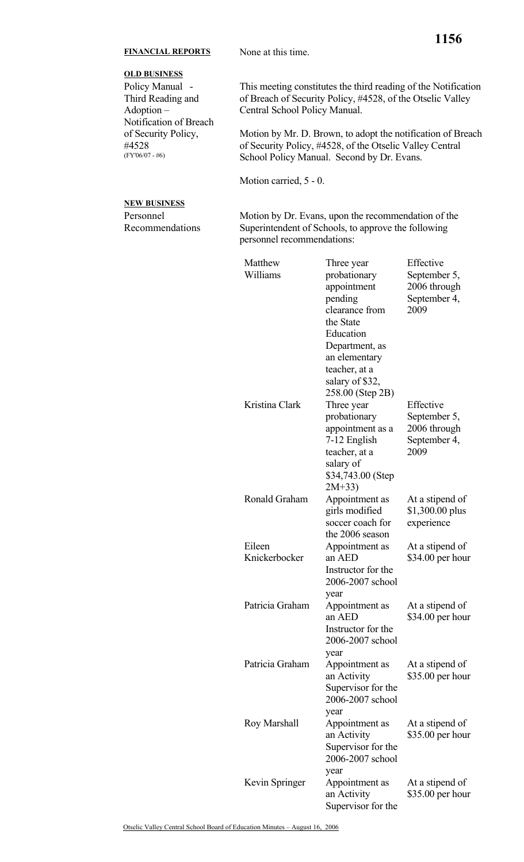## **FINANCIAL REPORTS** None at this time.

## **OLD BUSINESS**

Policy Manual - Third Reading and Adoption – Notification of Breach of Security Policy, #4528 (FY'06/07 - #6)

 This meeting constitutes the third reading of the Notification of Breach of Security Policy, #4528, of the Otselic Valley Central School Policy Manual.

Motion by Mr. D. Brown, to adopt the notification of Breach of Security Policy, #4528, of the Otselic Valley Central School Policy Manual. Second by Dr. Evans.

Motion carried, 5 - 0.

## **NEW BUSINESS**

Personnel Recommendations Motion by Dr. Evans, upon the recommendation of the Superintendent of Schools, to approve the following personnel recommendations:

| Matthew<br>Williams     | Three year<br>probationary<br>appointment<br>pending<br>clearance from<br>the State<br>Education<br>Department, as<br>an elementary<br>teacher, at a     | Effective<br>September 5,<br>2006 through<br>September 4,<br>2009 |
|-------------------------|----------------------------------------------------------------------------------------------------------------------------------------------------------|-------------------------------------------------------------------|
| Kristina Clark          | salary of \$32,<br>258.00 (Step 2B)<br>Three year<br>probationary<br>appointment as a<br>7-12 English<br>teacher, at a<br>salary of<br>\$34,743.00 (Step | Effective<br>September 5,<br>2006 through<br>September 4,<br>2009 |
| Ronald Graham           | $2M+33$<br>Appointment as<br>girls modified<br>soccer coach for<br>the 2006 season                                                                       | At a stipend of<br>\$1,300.00 plus<br>experience                  |
| Eileen<br>Knickerbocker | Appointment as<br>an AED<br>Instructor for the<br>2006-2007 school                                                                                       | At a stipend of<br>$$34.00$ per hour                              |
| Patricia Graham         | year<br>Appointment as<br>an AED<br>Instructor for the<br>2006-2007 school                                                                               | At a stipend of<br>$$34.00$ per hour                              |
| Patricia Graham         | year<br>Appointment as<br>an Activity<br>Supervisor for the<br>2006-2007 school                                                                          | At a stipend of<br>\$35.00 per hour                               |
| Roy Marshall            | year<br>Appointment as<br>an Activity<br>Supervisor for the<br>2006-2007 school                                                                          | At a stipend of<br>$$35.00$ per hour                              |
| Kevin Springer          | year<br>Appointment as<br>an Activity<br>Supervisor for the                                                                                              | At a stipend of<br>\$35.00 per hour                               |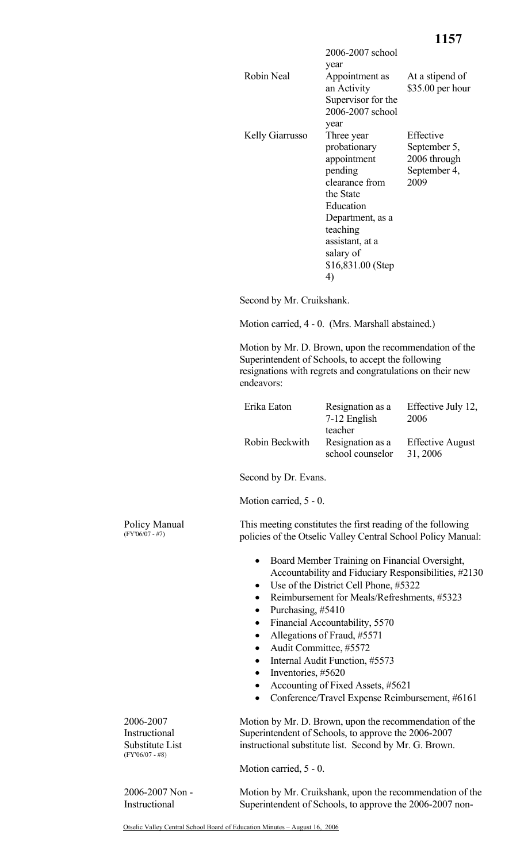|                        | 2006-2007 school<br>year      |                                     |
|------------------------|-------------------------------|-------------------------------------|
| Robin Neal             | Appointment as<br>an Activity | At a stipend of<br>\$35.00 per hour |
|                        | Supervisor for the            |                                     |
|                        | 2006-2007 school              |                                     |
|                        | year                          |                                     |
| <b>Kelly Giarrusso</b> | Three year                    | Effective                           |
|                        | probationary                  | September 5,                        |
|                        | appointment                   | 2006 through                        |
|                        | pending                       | September 4,                        |
|                        | clearance from                | 2009                                |
|                        | the State                     |                                     |
|                        | Education                     |                                     |
|                        | Department, as a              |                                     |
|                        | teaching                      |                                     |
|                        | assistant, at a               |                                     |
|                        | salary of                     |                                     |
|                        | $$16,831.00$ (Step            |                                     |
|                        | 4)                            |                                     |
|                        |                               |                                     |

Second by Mr. Cruikshank.

Motion carried, 4 - 0. (Mrs. Marshall abstained.)

Motion by Mr. D. Brown, upon the recommendation of the Superintendent of Schools, to accept the following resignations with regrets and congratulations on their new endeavors:

| Erika Eaton    | Resignation as a | Effective July 12,      |
|----------------|------------------|-------------------------|
|                | 7-12 English     | 2006                    |
|                | teacher          |                         |
| Robin Beckwith | Resignation as a | <b>Effective August</b> |
|                | school counselor | 31, 2006                |

Second by Dr. Evans.

Motion carried, 5 - 0.

This meeting constitutes the first reading of the following policies of the Otselic Valley Central School Policy Manual:

- Board Member Training on Financial Oversight, Accountability and Fiduciary Responsibilities, #2130
- Use of the District Cell Phone, #5322
- Reimbursement for Meals/Refreshments, #5323
- Purchasing, #5410
- Financial Accountability, 5570
- Allegations of Fraud, #5571
- Audit Committee, #5572
- Internal Audit Function, #5573
- Inventories, #5620
- Accounting of Fixed Assets, #5621
- Conference/Travel Expense Reimbursement, #6161

Motion by Mr. D. Brown, upon the recommendation of the Superintendent of Schools, to approve the 2006-2007 instructional substitute list. Second by Mr. G. Brown.

Motion carried, 5 - 0.

2006-2007 Non - Instructional

2006-2007 Instructional Substitute List (FY'06/07 - #8)

> Motion by Mr. Cruikshank, upon the recommendation of the Superintendent of Schools, to approve the 2006-2007 non-

Policy Manual (FY'06/07 - #7)